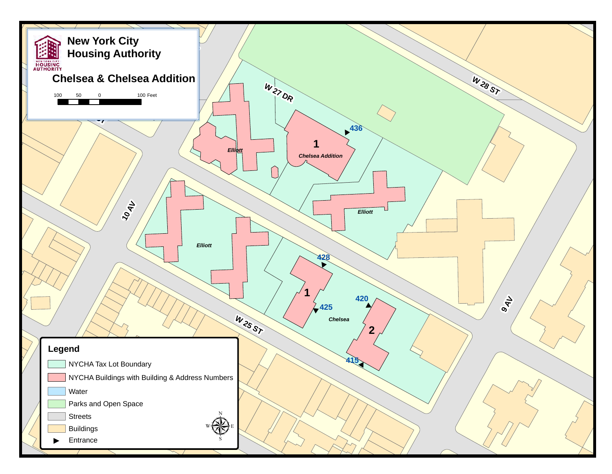